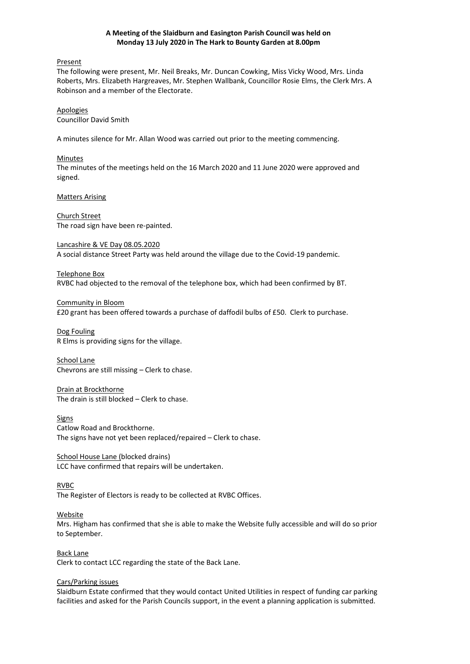### **A Meeting of the Slaidburn and Easington Parish Council was held on Monday 13 July 2020 in The Hark to Bounty Garden at 8.00pm**

Present

The following were present, Mr. Neil Breaks, Mr. Duncan Cowking, Miss Vicky Wood, Mrs. Linda Roberts, Mrs. Elizabeth Hargreaves, Mr. Stephen Wallbank, Councillor Rosie Elms, the Clerk Mrs. A Robinson and a member of the Electorate.

Apologies Councillor David Smith

A minutes silence for Mr. Allan Wood was carried out prior to the meeting commencing.

Minutes The minutes of the meetings held on the 16 March 2020 and 11 June 2020 were approved and signed.

Matters Arising

Church Street The road sign have been re-painted.

Lancashire & VE Day 08.05.2020 A social distance Street Party was held around the village due to the Covid-19 pandemic.

Telephone Box RVBC had objected to the removal of the telephone box, which had been confirmed by BT.

Community in Bloom £20 grant has been offered towards a purchase of daffodil bulbs of £50. Clerk to purchase.

Dog Fouling R Elms is providing signs for the village.

School Lane Chevrons are still missing – Clerk to chase.

Drain at Brockthorne The drain is still blocked – Clerk to chase.

Signs Catlow Road and Brockthorne. The signs have not yet been replaced/repaired – Clerk to chase.

School House Lane (blocked drains) LCC have confirmed that repairs will be undertaken.

RVBC

The Register of Electors is ready to be collected at RVBC Offices.

Website

Mrs. Higham has confirmed that she is able to make the Website fully accessible and will do so prior to September.

Back Lane Clerk to contact LCC regarding the state of the Back Lane.

# Cars/Parking issues

Slaidburn Estate confirmed that they would contact United Utilities in respect of funding car parking facilities and asked for the Parish Councils support, in the event a planning application is submitted.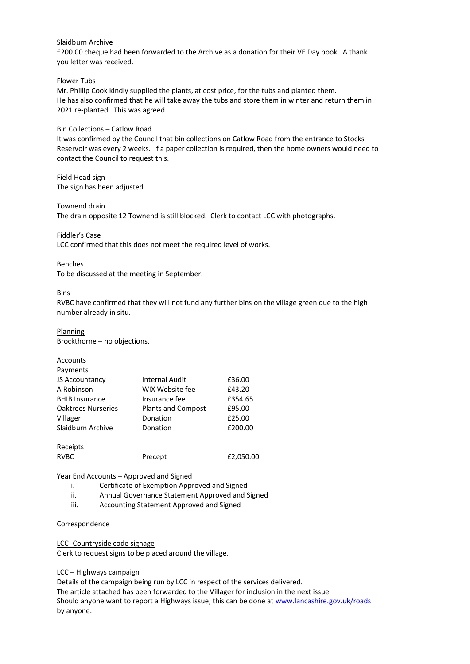# Slaidburn Archive

£200.00 cheque had been forwarded to the Archive as a donation for their VE Day book. A thank you letter was received.

### Flower Tubs

Mr. Phillip Cook kindly supplied the plants, at cost price, for the tubs and planted them. He has also confirmed that he will take away the tubs and store them in winter and return them in 2021 re-planted. This was agreed.

### Bin Collections – Catlow Road

It was confirmed by the Council that bin collections on Catlow Road from the entrance to Stocks Reservoir was every 2 weeks. If a paper collection is required, then the home owners would need to contact the Council to request this.

Field Head sign The sign has been adjusted

Townend drain

The drain opposite 12 Townend is still blocked. Clerk to contact LCC with photographs.

Fiddler's Case

LCC confirmed that this does not meet the required level of works.

Benches

To be discussed at the meeting in September.

Bins

RVBC have confirmed that they will not fund any further bins on the village green due to the high number already in situ.

**Planning** Brockthorne – no objections.

| Accounts                  |                           |           |
|---------------------------|---------------------------|-----------|
| Payments                  |                           |           |
| JS Accountancy            | Internal Audit            | £36.00    |
| A Robinson                | WIX Website fee           | £43.20    |
| <b>BHIB Insurance</b>     | Insurance fee             | £354.65   |
| <b>Oaktrees Nurseries</b> | <b>Plants and Compost</b> | £95.00    |
| Villager                  | Donation                  | £25.00    |
| Slaidburn Archive         | Donation                  | £200.00   |
| Receipts                  |                           |           |
| <b>RVBC</b>               | Precept                   | £2,050.00 |

Year End Accounts – Approved and Signed

- i. Certificate of Exemption Approved and Signed
- ii. Annual Governance Statement Approved and Signed
- iii. Accounting Statement Approved and Signed

#### Correspondence

LCC- Countryside code signage

Clerk to request signs to be placed around the village.

# LCC – Highways campaign

Details of the campaign being run by LCC in respect of the services delivered. The article attached has been forwarded to the Villager for inclusion in the next issue. Should anyone want to report a Highways issue, this can be done at [www.lancashire.gov.uk/roads](http://www.lancashire.gov.uk/roads) by anyone.